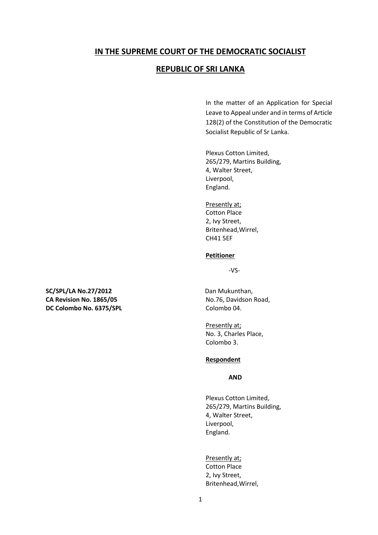# **IN THE SUPREME COURT OF THE DEMOCRATIC SOCIALIST**

# **REPUBLIC OF SRI LANKA**

In the matter of an Application for Special Leave to Appeal under and in terms of Article 128(2) of the Constitution of the Democratic Socialist Republic of Sr Lanka.

Plexus Cotton Limited, 265/279, Martins Building, 4, Walter Street, Liverpool, England.

Presently at; Cotton Place 2, Ivy Street, Britenhead,Wirrel, CH41 5EF

#### **Petitioner**

-VS-

Presently at; No. 3, Charles Place, Colombo 3.

#### **Respondent**

#### **AND**

Plexus Cotton Limited, 265/279, Martins Building, 4, Walter Street, Liverpool, England.

Presently at; Cotton Place 2, Ivy Street, Britenhead,Wirrel,

**SC/SPL/LA No.27/2012** Dan Mukunthan, CA Revision No. 1865/05 No.76, Davidson Road, **DC Colombo No. 6375/SPL** Colombo 04.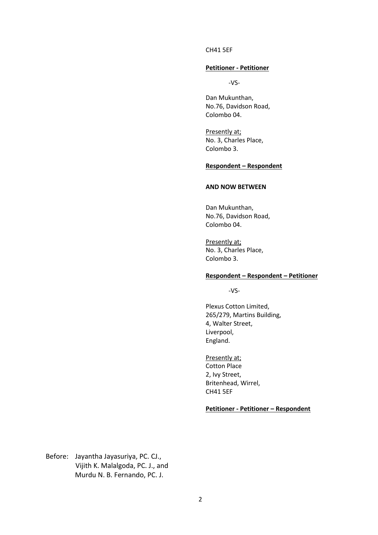#### CH41 5EF

### **Petitioner - Petitioner**

-VS-

Dan Mukunthan, No.76, Davidson Road, Colombo 04.

Presently at; No. 3, Charles Place, Colombo 3.

#### **Respondent – Respondent**

#### **AND NOW BETWEEN**

Dan Mukunthan, No.76, Davidson Road, Colombo 04.

Presently at; No. 3, Charles Place, Colombo 3.

#### **Respondent – Respondent – Petitioner**

-VS-

Plexus Cotton Limited, 265/279, Martins Building, 4, Walter Street, Liverpool, England.

Presently at; Cotton Place 2, Ivy Street, Britenhead, Wirrel, CH41 5EF

#### **Petitioner - Petitioner – Respondent**

Before: Jayantha Jayasuriya, PC. CJ., Vijith K. Malalgoda, PC. J., and Murdu N. B. Fernando, PC. J.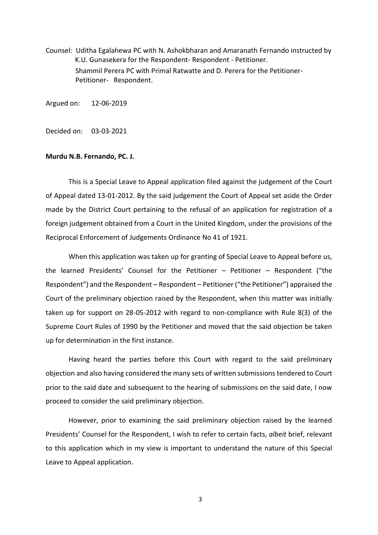Counsel: Uditha Egalahewa PC with N. Ashokbharan and Amaranath Fernando instructed by K.U. Gunasekera for the Respondent- Respondent - Petitioner. Shammil Perera PC with Primal Ratwatte and D. Perera for the Petitioner-Petitioner- Respondent.

Argued on: 12-06-2019

Decided on: 03-03-2021

#### **Murdu N.B. Fernando, PC. J.**

This is a Special Leave to Appeal application filed against the judgement of the Court of Appeal dated 13-01-2012. By the said judgement the Court of Appeal set aside the Order made by the District Court pertaining to the refusal of an application for registration of a foreign judgement obtained from a Court in the United Kingdom, under the provisions of the Reciprocal Enforcement of Judgements Ordinance No 41 of 1921.

When this application was taken up for granting of Special Leave to Appeal before us, the learned Presidents' Counsel for the Petitioner – Petitioner – Respondent ("the Respondent") and the Respondent – Respondent – Petitioner ("the Petitioner") appraised the Court of the preliminary objection raised by the Respondent, when this matter was initially taken up for support on 28-05-2012 with regard to non-compliance with Rule 8(3) of the Supreme Court Rules of 1990 by the Petitioner and moved that the said objection be taken up for determination in the first instance.

Having heard the parties before this Court with regard to the said preliminary objection and also having considered the many sets of written submissions tendered to Court prior to the said date and subsequent to the hearing of submissions on the said date, I now proceed to consider the said preliminary objection.

However, prior to examining the said preliminary objection raised by the learned Presidents' Counsel for the Respondent, I wish to refer to certain facts, *albeit* brief, relevant to this application which in my view is important to understand the nature of this Special Leave to Appeal application.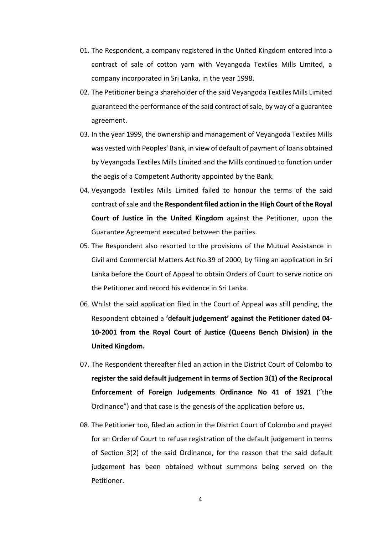- 01. The Respondent, a company registered in the United Kingdom entered into a contract of sale of cotton yarn with Veyangoda Textiles Mills Limited, a company incorporated in Sri Lanka, in the year 1998.
- 02. The Petitioner being a shareholder of the said Veyangoda Textiles Mills Limited guaranteed the performance of the said contract of sale, by way of a guarantee agreement.
- 03. In the year 1999, the ownership and management of Veyangoda Textiles Mills was vested with Peoples' Bank, in view of default of payment of loans obtained by Veyangoda Textiles Mills Limited and the Mills continued to function under the aegis of a Competent Authority appointed by the Bank.
- 04. Veyangoda Textiles Mills Limited failed to honour the terms of the said contract of sale and the **Respondent filed action in the High Court of the Royal Court of Justice in the United Kingdom** against the Petitioner, upon the Guarantee Agreement executed between the parties.
- 05. The Respondent also resorted to the provisions of the Mutual Assistance in Civil and Commercial Matters Act No.39 of 2000, by filing an application in Sri Lanka before the Court of Appeal to obtain Orders of Court to serve notice on the Petitioner and record his evidence in Sri Lanka.
- 06. Whilst the said application filed in the Court of Appeal was still pending, the Respondent obtained a **'default judgement' against the Petitioner dated 04- 10-2001 from the Royal Court of Justice (Queens Bench Division) in the United Kingdom.**
- 07. The Respondent thereafter filed an action in the District Court of Colombo to **register the said default judgement in terms of Section 3(1) of the Reciprocal Enforcement of Foreign Judgements Ordinance No 41 of 1921** ("the Ordinance") and that case is the genesis of the application before us.
- 08. The Petitioner too, filed an action in the District Court of Colombo and prayed for an Order of Court to refuse registration of the default judgement in terms of Section 3(2) of the said Ordinance, for the reason that the said default judgement has been obtained without summons being served on the Petitioner.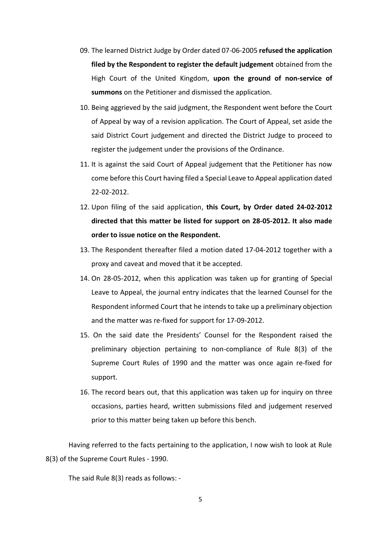- 09. The learned District Judge by Order dated 07-06-2005 **refused the application filed by the Respondent to register the default judgement** obtained from the High Court of the United Kingdom, **upon the ground of non-service of summons** on the Petitioner and dismissed the application.
- 10. Being aggrieved by the said judgment, the Respondent went before the Court of Appeal by way of a revision application. The Court of Appeal, set aside the said District Court judgement and directed the District Judge to proceed to register the judgement under the provisions of the Ordinance.
- 11. It is against the said Court of Appeal judgement that the Petitioner has now come before this Court having filed a Special Leave to Appeal application dated 22-02-2012.
- 12. Upon filing of the said application, **this Court, by Order dated 24-02-2012 directed that this matter be listed for support on 28-05-2012. It also made order to issue notice on the Respondent.**
- 13. The Respondent thereafter filed a motion dated 17-04-2012 together with a proxy and caveat and moved that it be accepted.
- 14. On 28-05-2012, when this application was taken up for granting of Special Leave to Appeal, the journal entry indicates that the learned Counsel for the Respondent informed Court that he intends to take up a preliminary objection and the matter was re-fixed for support for 17-09-2012.
- 15. On the said date the Presidents' Counsel for the Respondent raised the preliminary objection pertaining to non-compliance of Rule 8(3) of the Supreme Court Rules of 1990 and the matter was once again re-fixed for support.
- 16. The record bears out, that this application was taken up for inquiry on three occasions, parties heard, written submissions filed and judgement reserved prior to this matter being taken up before this bench.

Having referred to the facts pertaining to the application, I now wish to look at Rule 8(3) of the Supreme Court Rules - 1990.

The said Rule 8(3) reads as follows: -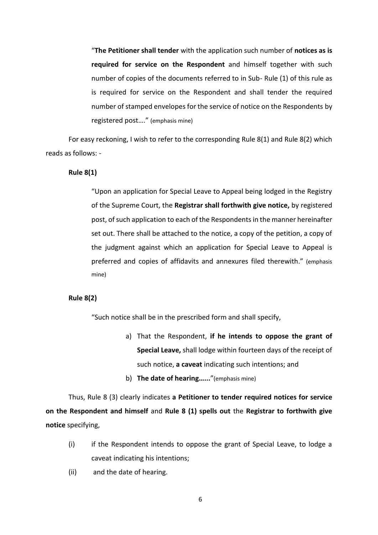"**The Petitioner shall tender** with the application such number of **notices as is required for service on the Respondent** and himself together with such number of copies of the documents referred to in Sub- Rule (1) of this rule as is required for service on the Respondent and shall tender the required number of stamped envelopes for the service of notice on the Respondents by registered post…." (emphasis mine)

For easy reckoning, I wish to refer to the corresponding Rule 8(1) and Rule 8(2) which reads as follows: -

# **Rule 8(1)**

"Upon an application for Special Leave to Appeal being lodged in the Registry of the Supreme Court, the **Registrar shall forthwith give notice,** by registered post, of such application to each of the Respondents in the manner hereinafter set out. There shall be attached to the notice, a copy of the petition, a copy of the judgment against which an application for Special Leave to Appeal is preferred and copies of affidavits and annexures filed therewith." (emphasis mine)

## **Rule 8(2)**

"Such notice shall be in the prescribed form and shall specify,

- a) That the Respondent, **if he intends to oppose the grant of Special Leave,** shall lodge within fourteen days of the receipt of such notice, **a caveat** indicating such intentions; and
- b) **The date of hearing…...**"(emphasis mine)

Thus, Rule 8 (3) clearly indicates **a Petitioner to tender required notices for service on the Respondent and himself** and **Rule 8 (1) spells out** the **Registrar to forthwith give notice** specifying,

- (i) if the Respondent intends to oppose the grant of Special Leave, to lodge a caveat indicating his intentions;
- (ii) and the date of hearing.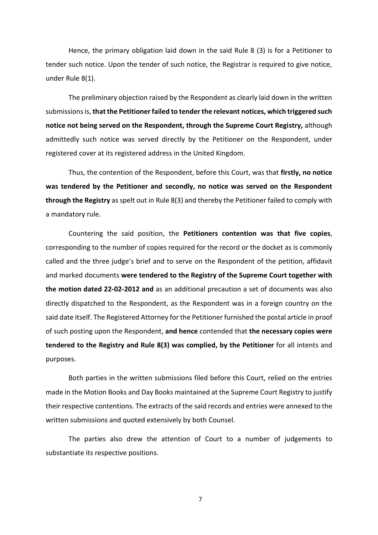Hence, the primary obligation laid down in the said Rule 8 (3) is for a Petitioner to tender such notice. Upon the tender of such notice, the Registrar is required to give notice, under Rule 8(1).

The preliminary objection raised by the Respondent as clearly laid down in the written submissions is, **that the Petitioner failed to tender the relevant notices, which triggered such notice not being served on the Respondent, through the Supreme Court Registry,** although admittedly such notice was served directly by the Petitioner on the Respondent, under registered cover at its registered address in the United Kingdom.

Thus, the contention of the Respondent, before this Court, was that **firstly, no notice was tendered by the Petitioner and secondly, no notice was served on the Respondent through the Registry** as spelt out in Rule 8(3) and thereby the Petitioner failed to comply with a mandatory rule.

Countering the said position, the **Petitioners contention was that five copies**, corresponding to the number of copies required for the record or the docket as is commonly called and the three judge's brief and to serve on the Respondent of the petition, affidavit and marked documents **were tendered to the Registry of the Supreme Court together with the motion dated 22-02-2012 and** as an additional precaution a set of documents was also directly dispatched to the Respondent, as the Respondent was in a foreign country on the said date itself. The Registered Attorney for the Petitioner furnished the postal article in proof of such posting upon the Respondent, **and hence** contended that **the necessary copies were tendered to the Registry and Rule 8(3) was complied, by the Petitioner** for all intents and purposes.

Both parties in the written submissions filed before this Court, relied on the entries made in the Motion Books and Day Books maintained at the Supreme Court Registry to justify their respective contentions. The extracts of the said records and entries were annexed to the written submissions and quoted extensively by both Counsel.

The parties also drew the attention of Court to a number of judgements to substantiate its respective positions.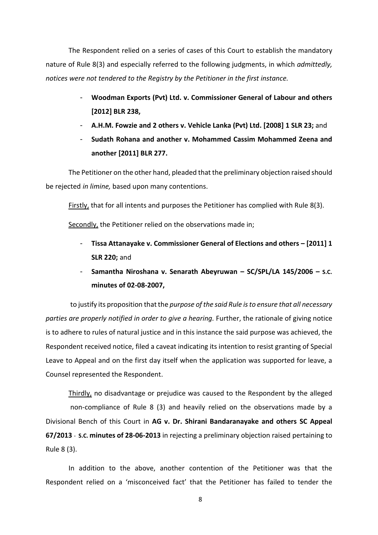The Respondent relied on a series of cases of this Court to establish the mandatory nature of Rule 8(3) and especially referred to the following judgments, in which *admittedly, notices were not tendered to the Registry by the Petitioner in the first instance.*

- **Woodman Exports (Pvt) Ltd. v. Commissioner General of Labour and others [2012] BLR 238,**
- **A.H.M. Fowzie and 2 others v. Vehicle Lanka (Pvt) Ltd. [2008] 1 SLR 23;** and
- **Sudath Rohana and another v. Mohammed Cassim Mohammed Zeena and another [2011] BLR 277.**

The Petitioner on the other hand, pleaded that the preliminary objection raised should be rejected *in limine,* based upon many contentions.

Firstly, that for all intents and purposes the Petitioner has complied with Rule 8(3).

Secondly, the Petitioner relied on the observations made in;

- **Tissa Attanayake v. Commissioner General of Elections and others – [2011] 1 SLR 220;** and
- **Samantha Niroshana v. Senarath Abeyruwan – SC/SPL/LA 145/2006 – S.C. minutes of 02-08-2007,**

to justify its proposition that the *purpose of the said Rule is to ensure that all necessary parties are properly notified in order to give a hearing.* Further, the rationale of giving notice is to adhere to rules of natural justice and in this instance the said purpose was achieved, the Respondent received notice, filed a caveat indicating its intention to resist granting of Special Leave to Appeal and on the first day itself when the application was supported for leave, a Counsel represented the Respondent.

Thirdly, no disadvantage or prejudice was caused to the Respondent by the alleged non-compliance of Rule 8 (3) and heavily relied on the observations made by a Divisional Bench of this Court in **AG v. Dr. Shirani Bandaranayake and others SC Appeal 67/2013** - **S.C. minutes of 28-06-2013** in rejecting a preliminary objection raised pertaining to Rule 8 (3).

In addition to the above, another contention of the Petitioner was that the Respondent relied on a 'misconceived fact' that the Petitioner has failed to tender the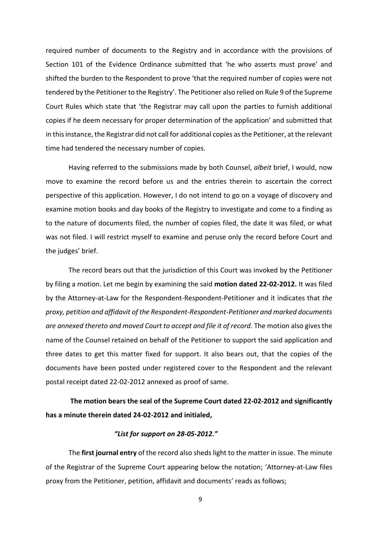required number of documents to the Registry and in accordance with the provisions of Section 101 of the Evidence Ordinance submitted that 'he who asserts must prove' and shifted the burden to the Respondent to prove 'that the required number of copies were not tendered by the Petitioner to the Registry'. The Petitioner also relied on Rule 9 of the Supreme Court Rules which state that 'the Registrar may call upon the parties to furnish additional copies if he deem necessary for proper determination of the application' and submitted that in this instance, the Registrar did not call for additional copies as the Petitioner, at the relevant time had tendered the necessary number of copies.

Having referred to the submissions made by both Counsel, *albeit* brief, I would, now move to examine the record before us and the entries therein to ascertain the correct perspective of this application. However, I do not intend to go on a voyage of discovery and examine motion books and day books of the Registry to investigate and come to a finding as to the nature of documents filed, the number of copies filed, the date it was filed, or what was not filed. I will restrict myself to examine and peruse only the record before Court and the judges' brief.

The record bears out that the jurisdiction of this Court was invoked by the Petitioner by filing a motion. Let me begin by examining the said **motion dated 22-02-2012.** It was filed by the Attorney-at-Law for the Respondent-Respondent-Petitioner and it indicates that *the proxy, petition and affidavit of the Respondent-Respondent-Petitioner and marked documents are annexed thereto and moved Court to accept and file it of record*. The motion also gives the name of the Counsel retained on behalf of the Petitioner to support the said application and three dates to get this matter fixed for support. It also bears out, that the copies of the documents have been posted under registered cover to the Respondent and the relevant postal receipt dated 22-02-2012 annexed as proof of same.

**The motion bears the seal of the Supreme Court dated 22-02-2012 and significantly has a minute therein dated 24-02-2012 and initialed,**

# *"List for support on 28-05-2012."*

The **first journal entry** of the record also sheds light to the matter in issue. The minute of the Registrar of the Supreme Court appearing below the notation; 'Attorney-at-Law files proxy from the Petitioner, petition, affidavit and documents' reads as follows;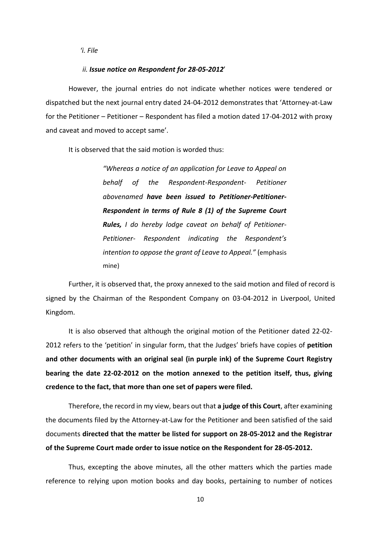### *'i. File*

#### *ii. Issue notice on Respondent for 28-05-2012*'

However, the journal entries do not indicate whether notices were tendered or dispatched but the next journal entry dated 24-04-2012 demonstrates that 'Attorney-at-Law for the Petitioner – Petitioner – Respondent has filed a motion dated 17-04-2012 with proxy and caveat and moved to accept same'.

It is observed that the said motion is worded thus:

*"Whereas a notice of an application for Leave to Appeal on behalf of the Respondent-Respondent- Petitioner abovenamed have been issued to Petitioner-Petitioner-Respondent in terms of Rule 8 (1) of the Supreme Court Rules, I do hereby lodge caveat on behalf of Petitioner-Petitioner- Respondent indicating the Respondent's intention to oppose the grant of Leave to Appeal."* (emphasis mine)

Further, it is observed that, the proxy annexed to the said motion and filed of record is signed by the Chairman of the Respondent Company on 03-04-2012 in Liverpool, United Kingdom.

It is also observed that although the original motion of the Petitioner dated 22-02- 2012 refers to the 'petition' in singular form, that the Judges' briefs have copies of **petition and other documents with an original seal (in purple ink) of the Supreme Court Registry bearing the date 22-02-2012 on the motion annexed to the petition itself, thus, giving credence to the fact, that more than one set of papers were filed.**

Therefore, the record in my view, bears out that **a judge of this Court**, after examining the documents filed by the Attorney-at-Law for the Petitioner and been satisfied of the said documents **directed that the matter be listed for support on 28-05-2012 and the Registrar of the Supreme Court made order to issue notice on the Respondent for 28-05-2012.**

Thus, excepting the above minutes, all the other matters which the parties made reference to relying upon motion books and day books, pertaining to number of notices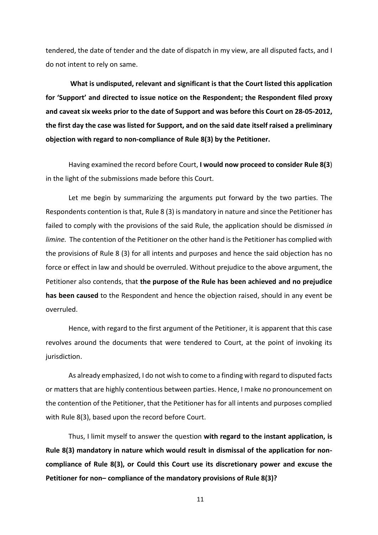tendered, the date of tender and the date of dispatch in my view, are all disputed facts, and I do not intent to rely on same.

**What is undisputed, relevant and significant is that the Court listed this application for 'Support' and directed to issue notice on the Respondent; the Respondent filed proxy and caveat six weeks prior to the date of Support and was before this Court on 28-05-2012, the first day the case was listed for Support, and on the said date itself raised a preliminary objection with regard to non-compliance of Rule 8(3) by the Petitioner.**

Having examined the record before Court, **I would now proceed to consider Rule 8(3**) in the light of the submissions made before this Court.

Let me begin by summarizing the arguments put forward by the two parties. The Respondents contention is that, Rule 8 (3) is mandatory in nature and since the Petitioner has failed to comply with the provisions of the said Rule, the application should be dismissed *in limine.* The contention of the Petitioner on the other hand is the Petitioner has complied with the provisions of Rule 8 (3) for all intents and purposes and hence the said objection has no force or effect in law and should be overruled. Without prejudice to the above argument, the Petitioner also contends, that **the purpose of the Rule has been achieved and no prejudice has been caused** to the Respondent and hence the objection raised, should in any event be overruled.

Hence, with regard to the first argument of the Petitioner, it is apparent that this case revolves around the documents that were tendered to Court, at the point of invoking its jurisdiction.

As already emphasized, I do not wish to come to a finding with regard to disputed facts or matters that are highly contentious between parties. Hence, I make no pronouncement on the contention of the Petitioner, that the Petitioner has for all intents and purposes complied with Rule 8(3), based upon the record before Court.

Thus, I limit myself to answer the question **with regard to the instant application, is Rule 8(3) mandatory in nature which would result in dismissal of the application for noncompliance of Rule 8(3), or Could this Court use its discretionary power and excuse the Petitioner for non– compliance of the mandatory provisions of Rule 8(3)?**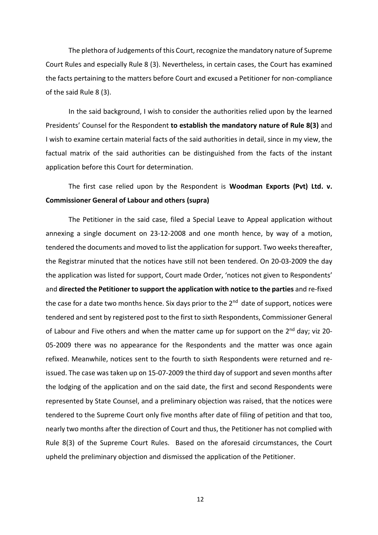The plethora of Judgements of this Court, recognize the mandatory nature of Supreme Court Rules and especially Rule 8 (3). Nevertheless, in certain cases, the Court has examined the facts pertaining to the matters before Court and excused a Petitioner for non-compliance of the said Rule 8 (3).

In the said background, I wish to consider the authorities relied upon by the learned Presidents' Counsel for the Respondent **to establish the mandatory nature of Rule 8(3)** and I wish to examine certain material facts of the said authorities in detail, since in my view, the factual matrix of the said authorities can be distinguished from the facts of the instant application before this Court for determination.

The first case relied upon by the Respondent is **Woodman Exports (Pvt) Ltd. v. Commissioner General of Labour and others (supra)**

The Petitioner in the said case, filed a Special Leave to Appeal application without annexing a single document on 23-12-2008 and one month hence, by way of a motion, tendered the documents and moved to list the application for support. Two weeks thereafter, the Registrar minuted that the notices have still not been tendered. On 20-03-2009 the day the application was listed for support, Court made Order, 'notices not given to Respondents' and **directed the Petitioner to support the application with notice to the parties** and re-fixed the case for a date two months hence. Six days prior to the 2<sup>nd</sup> date of support, notices were tendered and sent by registered post to the first to sixth Respondents, Commissioner General of Labour and Five others and when the matter came up for support on the  $2^{nd}$  day; viz 20-05-2009 there was no appearance for the Respondents and the matter was once again refixed. Meanwhile, notices sent to the fourth to sixth Respondents were returned and reissued. The case was taken up on 15-07-2009 the third day of support and seven months after the lodging of the application and on the said date, the first and second Respondents were represented by State Counsel, and a preliminary objection was raised, that the notices were tendered to the Supreme Court only five months after date of filing of petition and that too, nearly two months after the direction of Court and thus, the Petitioner has not complied with Rule 8(3) of the Supreme Court Rules. Based on the aforesaid circumstances, the Court upheld the preliminary objection and dismissed the application of the Petitioner.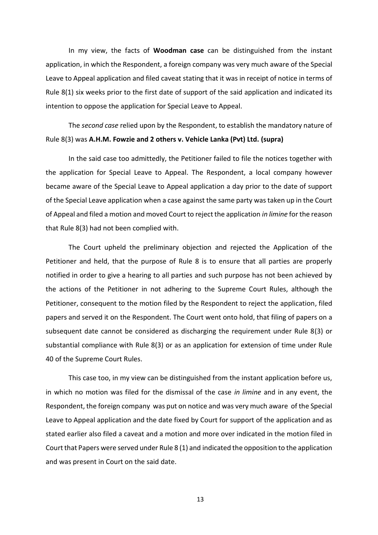In my view, the facts of **Woodman case** can be distinguished from the instant application, in which the Respondent, a foreign company was very much aware of the Special Leave to Appeal application and filed caveat stating that it was in receipt of notice in terms of Rule 8(1) six weeks prior to the first date of support of the said application and indicated its intention to oppose the application for Special Leave to Appeal.

The *second case* relied upon by the Respondent, to establish the mandatory nature of Rule 8(3) was **A.H.M. Fowzie and 2 others v. Vehicle Lanka (Pvt) Ltd. (supra)**

In the said case too admittedly, the Petitioner failed to file the notices together with the application for Special Leave to Appeal. The Respondent, a local company however became aware of the Special Leave to Appeal application a day prior to the date of support of the Special Leave application when a case against the same party was taken up in the Court of Appeal and filed a motion and moved Court to reject the application *in limine* for the reason that Rule 8(3) had not been complied with.

The Court upheld the preliminary objection and rejected the Application of the Petitioner and held, that the purpose of Rule 8 is to ensure that all parties are properly notified in order to give a hearing to all parties and such purpose has not been achieved by the actions of the Petitioner in not adhering to the Supreme Court Rules, although the Petitioner, consequent to the motion filed by the Respondent to reject the application, filed papers and served it on the Respondent. The Court went onto hold, that filing of papers on a subsequent date cannot be considered as discharging the requirement under Rule 8(3) or substantial compliance with Rule 8(3) or as an application for extension of time under Rule 40 of the Supreme Court Rules.

This case too, in my view can be distinguished from the instant application before us, in which no motion was filed for the dismissal of the case *in limine* and in any event, the Respondent, the foreign company was put on notice and was very much aware of the Special Leave to Appeal application and the date fixed by Court for support of the application and as stated earlier also filed a caveat and a motion and more over indicated in the motion filed in Court that Papers were served under Rule 8 (1) and indicated the opposition to the application and was present in Court on the said date.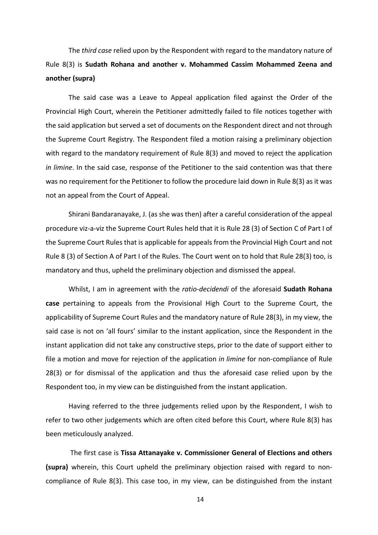The *third case* relied upon by the Respondent with regard to the mandatory nature of Rule 8(3) is **Sudath Rohana and another v. Mohammed Cassim Mohammed Zeena and another (supra)**

The said case was a Leave to Appeal application filed against the Order of the Provincial High Court, wherein the Petitioner admittedly failed to file notices together with the said application but served a set of documents on the Respondent direct and not through the Supreme Court Registry. The Respondent filed a motion raising a preliminary objection with regard to the mandatory requirement of Rule 8(3) and moved to reject the application *in limine*. In the said case, response of the Petitioner to the said contention was that there was no requirement for the Petitioner to follow the procedure laid down in Rule 8(3) as it was not an appeal from the Court of Appeal.

Shirani Bandaranayake, J. (as she was then) after a careful consideration of the appeal procedure viz-a-viz the Supreme Court Rules held that it is Rule 28 (3) of Section C of Part I of the Supreme Court Rules that is applicable for appeals from the Provincial High Court and not Rule 8 (3) of Section A of Part I of the Rules. The Court went on to hold that Rule 28(3) too, is mandatory and thus, upheld the preliminary objection and dismissed the appeal.

Whilst, I am in agreement with the *ratio-decidendi* of the aforesaid **Sudath Rohana case** pertaining to appeals from the Provisional High Court to the Supreme Court, the applicability of Supreme Court Rules and the mandatory nature of Rule 28(3), in my view, the said case is not on 'all fours' similar to the instant application, since the Respondent in the instant application did not take any constructive steps, prior to the date of support either to file a motion and move for rejection of the application *in limine* for non-compliance of Rule 28(3) or for dismissal of the application and thus the aforesaid case relied upon by the Respondent too, in my view can be distinguished from the instant application.

Having referred to the three judgements relied upon by the Respondent, I wish to refer to two other judgements which are often cited before this Court, where Rule 8(3) has been meticulously analyzed.

The first case is **Tissa Attanayake v. Commissioner General of Elections and others (supra)** wherein, this Court upheld the preliminary objection raised with regard to noncompliance of Rule 8(3). This case too, in my view, can be distinguished from the instant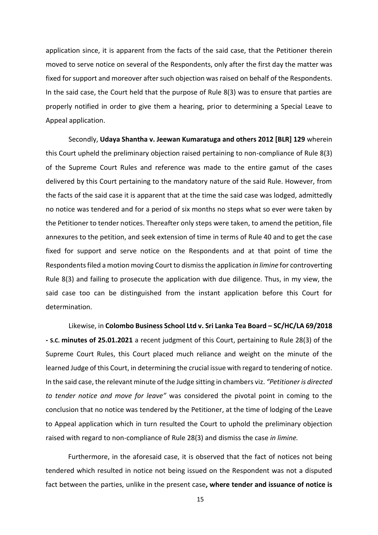application since, it is apparent from the facts of the said case, that the Petitioner therein moved to serve notice on several of the Respondents, only after the first day the matter was fixed for support and moreover after such objection was raised on behalf of the Respondents. In the said case, the Court held that the purpose of Rule 8(3) was to ensure that parties are properly notified in order to give them a hearing, prior to determining a Special Leave to Appeal application.

Secondly, **Udaya Shantha v. Jeewan Kumaratuga and others 2012 [BLR] 129** wherein this Court upheld the preliminary objection raised pertaining to non-compliance of Rule 8(3) of the Supreme Court Rules and reference was made to the entire gamut of the cases delivered by this Court pertaining to the mandatory nature of the said Rule. However, from the facts of the said case it is apparent that at the time the said case was lodged, admittedly no notice was tendered and for a period of six months no steps what so ever were taken by the Petitioner to tender notices. Thereafter only steps were taken, to amend the petition, file annexures to the petition, and seek extension of time in terms of Rule 40 and to get the case fixed for support and serve notice on the Respondents and at that point of time the Respondents filed a motion moving Court to dismiss the application *in limine* for controverting Rule 8(3) and failing to prosecute the application with due diligence. Thus, in my view, the said case too can be distinguished from the instant application before this Court for determination.

Likewise, in **Colombo Business School Ltd v. Sri Lanka Tea Board – SC/HC/LA 69/2018 - S.C. minutes of 25.01.2021** a recent judgment of this Court, pertaining to Rule 28(3) of the Supreme Court Rules, this Court placed much reliance and weight on the minute of the learned Judge of this Court, in determining the crucial issue with regard to tendering of notice. In the said case, the relevant minute of the Judge sitting in chambers viz. *"Petitioner is directed to tender notice and move for leave"* was considered the pivotal point in coming to the conclusion that no notice was tendered by the Petitioner, at the time of lodging of the Leave to Appeal application which in turn resulted the Court to uphold the preliminary objection raised with regard to non-compliance of Rule 28(3) and dismiss the case *in limine.*

 Furthermore, in the aforesaid case, it is observed that the fact of notices not being tendered which resulted in notice not being issued on the Respondent was not a disputed fact between the parties, unlike in the present case**, where tender and issuance of notice is**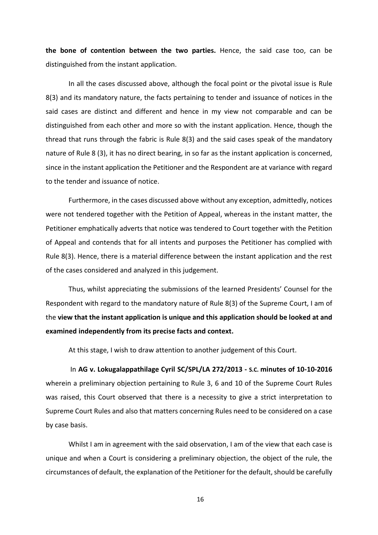**the bone of contention between the two parties.** Hence, the said case too, can be distinguished from the instant application.

In all the cases discussed above, although the focal point or the pivotal issue is Rule 8(3) and its mandatory nature, the facts pertaining to tender and issuance of notices in the said cases are distinct and different and hence in my view not comparable and can be distinguished from each other and more so with the instant application. Hence, though the thread that runs through the fabric is Rule 8(3) and the said cases speak of the mandatory nature of Rule 8 (3), it has no direct bearing, in so far as the instant application is concerned, since in the instant application the Petitioner and the Respondent are at variance with regard to the tender and issuance of notice.

Furthermore, in the cases discussed above without any exception, admittedly, notices were not tendered together with the Petition of Appeal, whereas in the instant matter, the Petitioner emphatically adverts that notice was tendered to Court together with the Petition of Appeal and contends that for all intents and purposes the Petitioner has complied with Rule 8(3). Hence, there is a material difference between the instant application and the rest of the cases considered and analyzed in this judgement.

Thus, whilst appreciating the submissions of the learned Presidents' Counsel for the Respondent with regard to the mandatory nature of Rule 8(3) of the Supreme Court, I am of the **view that the instant application is unique and this application should be looked at and examined independently from its precise facts and context.**

At this stage, I wish to draw attention to another judgement of this Court.

In **AG v. Lokugalappathilage Cyril SC/SPL/LA 272/2013 - S.C. minutes of 10-10-2016** wherein a preliminary objection pertaining to Rule 3, 6 and 10 of the Supreme Court Rules was raised, this Court observed that there is a necessity to give a strict interpretation to Supreme Court Rules and also that matters concerning Rules need to be considered on a case by case basis.

Whilst I am in agreement with the said observation, I am of the view that each case is unique and when a Court is considering a preliminary objection, the object of the rule, the circumstances of default, the explanation of the Petitioner for the default, should be carefully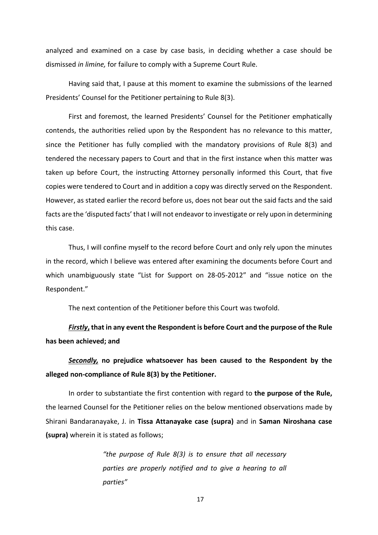analyzed and examined on a case by case basis, in deciding whether a case should be dismissed *in limine,* for failure to comply with a Supreme Court Rule.

Having said that, I pause at this moment to examine the submissions of the learned Presidents' Counsel for the Petitioner pertaining to Rule 8(3).

First and foremost, the learned Presidents' Counsel for the Petitioner emphatically contends, the authorities relied upon by the Respondent has no relevance to this matter, since the Petitioner has fully complied with the mandatory provisions of Rule 8(3) and tendered the necessary papers to Court and that in the first instance when this matter was taken up before Court, the instructing Attorney personally informed this Court, that five copies were tendered to Court and in addition a copy was directly served on the Respondent. However, as stated earlier the record before us, does not bear out the said facts and the said facts are the 'disputed facts' that I will not endeavor to investigate or rely upon in determining this case.

Thus, I will confine myself to the record before Court and only rely upon the minutes in the record, which I believe was entered after examining the documents before Court and which unambiguously state "List for Support on 28-05-2012" and "issue notice on the Respondent."

The next contention of the Petitioner before this Court was twofold.

*Firstly***, that in any event the Respondent is before Court and the purpose of the Rule has been achieved; and**

*Secondly,* **no prejudice whatsoever has been caused to the Respondent by the alleged non-compliance of Rule 8(3) by the Petitioner.**

In order to substantiate the first contention with regard to **the purpose of the Rule,** the learned Counsel for the Petitioner relies on the below mentioned observations made by Shirani Bandaranayake, J. in **Tissa Attanayake case (supra)** and in **Saman Niroshana case (supra)** wherein it is stated as follows;

> *"the purpose of Rule 8(3) is to ensure that all necessary parties are properly notified and to give a hearing to all parties"*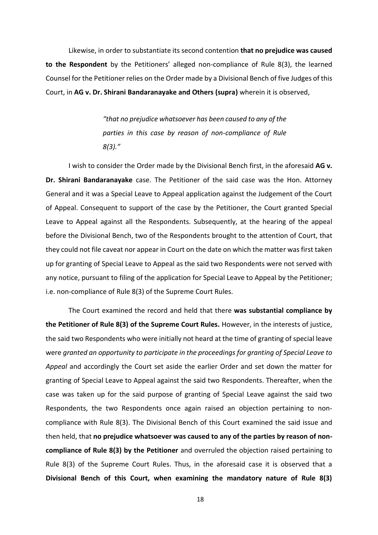Likewise, in order to substantiate its second contention **that no prejudice was caused to the Respondent** by the Petitioners' alleged non-compliance of Rule 8(3), the learned Counsel for the Petitioner relies on the Order made by a Divisional Bench of five Judges of this Court, in **AG v. Dr. Shirani Bandaranayake and Others (supra)** wherein it is observed,

> *"that no prejudice whatsoever has been caused to any of the parties in this case by reason of non-compliance of Rule 8(3)."*

I wish to consider the Order made by the Divisional Bench first, in the aforesaid **AG v. Dr. Shirani Bandaranayake** case. The Petitioner of the said case was the Hon. Attorney General and it was a Special Leave to Appeal application against the Judgement of the Court of Appeal. Consequent to support of the case by the Petitioner, the Court granted Special Leave to Appeal against all the Respondents. Subsequently, at the hearing of the appeal before the Divisional Bench, two of the Respondents brought to the attention of Court, that they could not file caveat nor appear in Court on the date on which the matter was first taken up for granting of Special Leave to Appeal as the said two Respondents were not served with any notice, pursuant to filing of the application for Special Leave to Appeal by the Petitioner; i.e. non-compliance of Rule 8(3) of the Supreme Court Rules.

The Court examined the record and held that there **was substantial compliance by the Petitioner of Rule 8(3) of the Supreme Court Rules.** However, in the interests of justice, the said two Respondents who were initially not heard at the time of granting of special leave were *granted an opportunity to participate in the proceedings for granting of Special Leave to Appeal* and accordingly the Court set aside the earlier Order and set down the matter for granting of Special Leave to Appeal against the said two Respondents. Thereafter, when the case was taken up for the said purpose of granting of Special Leave against the said two Respondents, the two Respondents once again raised an objection pertaining to noncompliance with Rule 8(3). The Divisional Bench of this Court examined the said issue and then held, that **no prejudice whatsoever was caused to any of the parties by reason of noncompliance of Rule 8(3) by the Petitioner** and overruled the objection raised pertaining to Rule 8(3) of the Supreme Court Rules. Thus, in the aforesaid case it is observed that a **Divisional Bench of this Court, when examining the mandatory nature of Rule 8(3)**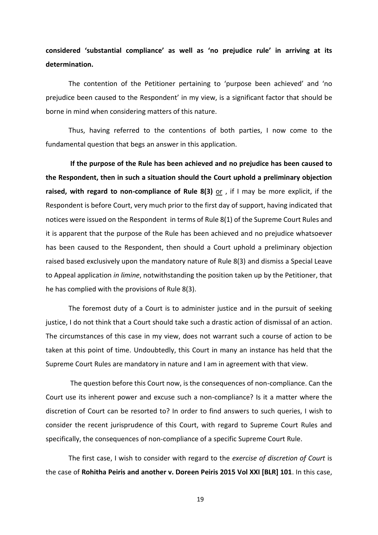# **considered 'substantial compliance' as well as 'no prejudice rule' in arriving at its determination.**

The contention of the Petitioner pertaining to 'purpose been achieved' and 'no prejudice been caused to the Respondent' in my view, is a significant factor that should be borne in mind when considering matters of this nature.

Thus, having referred to the contentions of both parties, I now come to the fundamental question that begs an answer in this application.

**If the purpose of the Rule has been achieved and no prejudice has been caused to the Respondent, then in such a situation should the Court uphold a preliminary objection raised, with regard to non-compliance of Rule 8(3)** or , if I may be more explicit, if the Respondent is before Court, very much prior to the first day of support, having indicated that notices were issued on the Respondent in terms of Rule 8(1) of the Supreme Court Rules and it is apparent that the purpose of the Rule has been achieved and no prejudice whatsoever has been caused to the Respondent, then should a Court uphold a preliminary objection raised based exclusively upon the mandatory nature of Rule 8(3) and dismiss a Special Leave to Appeal application *in limine*, notwithstanding the position taken up by the Petitioner, that he has complied with the provisions of Rule 8(3).

The foremost duty of a Court is to administer justice and in the pursuit of seeking justice, I do not think that a Court should take such a drastic action of dismissal of an action. The circumstances of this case in my view, does not warrant such a course of action to be taken at this point of time. Undoubtedly, this Court in many an instance has held that the Supreme Court Rules are mandatory in nature and I am in agreement with that view.

The question before this Court now, is the consequences of non-compliance. Can the Court use its inherent power and excuse such a non-compliance? Is it a matter where the discretion of Court can be resorted to? In order to find answers to such queries, I wish to consider the recent jurisprudence of this Court, with regard to Supreme Court Rules and specifically, the consequences of non-compliance of a specific Supreme Court Rule.

The first case, I wish to consider with regard to the *exercise of discretion of Court* is the case of **Rohitha Peiris and another v. Doreen Peiris 2015 Vol XXI [BLR] 101**. In this case,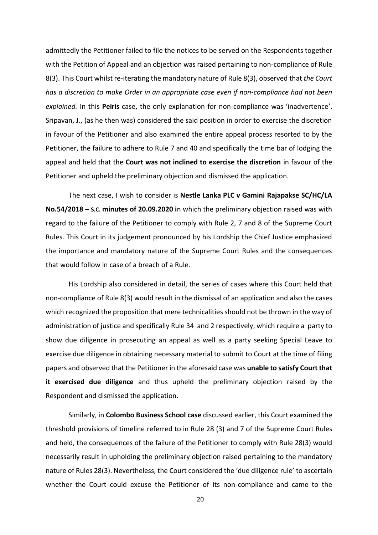admittedly the Petitioner failed to file the notices to be served on the Respondents together with the Petition of Appeal and an objection was raised pertaining to non-compliance of Rule 8(3). This Court whilst re-iterating the mandatory nature of Rule 8(3), observed that *the Court has a discretion to make Order in an appropriate case even if non-compliance had not been explained.* In this **Peiris** case, the only explanation for non-compliance was 'inadvertence'. Sripavan, J., (as he then was) considered the said position in order to exercise the discretion in favour of the Petitioner and also examined the entire appeal process resorted to by the Petitioner, the failure to adhere to Rule 7 and 40 and specifically the time bar of lodging the appeal and held that the **Court was not inclined to exercise the discretion** in favour of the Petitioner and upheld the preliminary objection and dismissed the application.

The next case, I wish to consider is **Nestle Lanka PLC v Gamini Rajapakse SC/HC/LA No.54/2018 – S.C. minutes of 20.09.2020 i**n which the preliminary objection raised was with regard to the failure of the Petitioner to comply with Rule 2, 7 and 8 of the Supreme Court Rules. This Court in its judgement pronounced by his Lordship the Chief Justice emphasized the importance and mandatory nature of the Supreme Court Rules and the consequences that would follow in case of a breach of a Rule.

His Lordship also considered in detail, the series of cases where this Court held that non-compliance of Rule 8(3) would result in the dismissal of an application and also the cases which recognized the proposition that mere technicalities should not be thrown in the way of administration of justice and specifically Rule 34 and 2 respectively, which require a party to show due diligence in prosecuting an appeal as well as a party seeking Special Leave to exercise due diligence in obtaining necessary material to submit to Court at the time of filing papers and observed that the Petitioner in the aforesaid case was **unable to satisfy Court that it exercised due diligence** and thus upheld the preliminary objection raised by the Respondent and dismissed the application.

Similarly, in **Colombo Business School case** discussed earlier, this Court examined the threshold provisions of timeline referred to in Rule 28 (3) and 7 of the Supreme Court Rules and held, the consequences of the failure of the Petitioner to comply with Rule 28(3) would necessarily result in upholding the preliminary objection raised pertaining to the mandatory nature of Rules 28(3). Nevertheless, the Court considered the 'due diligence rule' to ascertain whether the Court could excuse the Petitioner of its non-compliance and came to the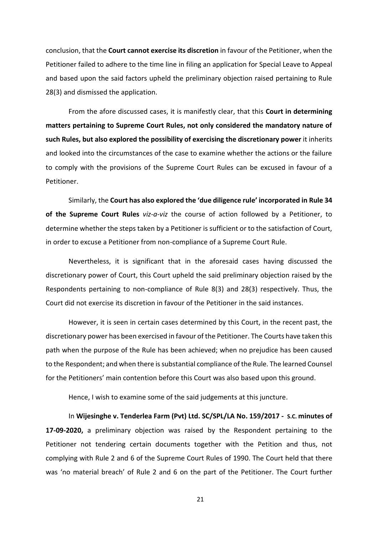conclusion, that the **Court cannot exercise its discretion** in favour of the Petitioner, when the Petitioner failed to adhere to the time line in filing an application for Special Leave to Appeal and based upon the said factors upheld the preliminary objection raised pertaining to Rule 28(3) and dismissed the application.

From the afore discussed cases, it is manifestly clear, that this **Court in determining matters pertaining to Supreme Court Rules, not only considered the mandatory nature of such Rules, but also explored the possibility of exercising the discretionary power** it inherits and looked into the circumstances of the case to examine whether the actions or the failure to comply with the provisions of the Supreme Court Rules can be excused in favour of a Petitioner.

Similarly, the **Court has also explored the 'due diligence rule' incorporated in Rule 34 of the Supreme Court Rules** *viz-a-viz* the course of action followed by a Petitioner, to determine whether the steps taken by a Petitioner is sufficient or to the satisfaction of Court, in order to excuse a Petitioner from non-compliance of a Supreme Court Rule.

Nevertheless, it is significant that in the aforesaid cases having discussed the discretionary power of Court, this Court upheld the said preliminary objection raised by the Respondents pertaining to non-compliance of Rule 8(3) and 28(3) respectively. Thus, the Court did not exercise its discretion in favour of the Petitioner in the said instances.

However, it is seen in certain cases determined by this Court, in the recent past, the discretionary power has been exercised in favour of the Petitioner. The Courts have taken this path when the purpose of the Rule has been achieved; when no prejudice has been caused to the Respondent; and when there is substantial compliance of the Rule. The learned Counsel for the Petitioners' main contention before this Court was also based upon this ground.

Hence, I wish to examine some of the said judgements at this juncture.

In **Wijesinghe v. Tenderlea Farm (Pvt) Ltd. SC/SPL/LA No. 159/2017 - S.C. minutes of 17-09-2020,** a preliminary objection was raised by the Respondent pertaining to the Petitioner not tendering certain documents together with the Petition and thus, not complying with Rule 2 and 6 of the Supreme Court Rules of 1990. The Court held that there was 'no material breach' of Rule 2 and 6 on the part of the Petitioner. The Court further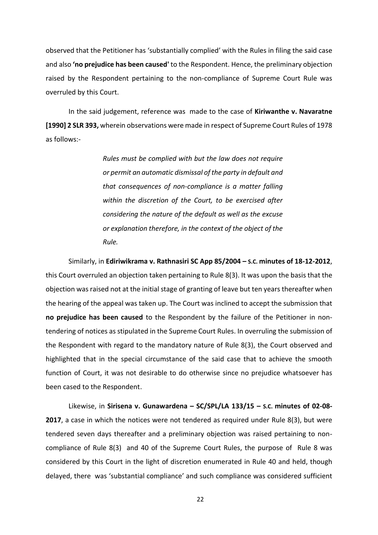observed that the Petitioner has 'substantially complied' with the Rules in filing the said case and also **'no prejudice has been caused'** to the Respondent. Hence, the preliminary objection raised by the Respondent pertaining to the non-compliance of Supreme Court Rule was overruled by this Court.

In the said judgement, reference was made to the case of **Kiriwanthe v. Navaratne [1990] 2 SLR 393,** wherein observations were made in respect of Supreme Court Rules of 1978 as follows:-

> *Rules must be complied with but the law does not require or permit an automatic dismissal of the party in default and that consequences of non-compliance is a matter falling within the discretion of the Court, to be exercised after considering the nature of the default as well as the excuse or explanation therefore, in the context of the object of the Rule.*

Similarly, in **Ediriwikrama v. Rathnasiri SC App 85/2004 – S.C. minutes of 18-12-2012**, this Court overruled an objection taken pertaining to Rule 8(3). It was upon the basis that the objection was raised not at the initial stage of granting of leave but ten years thereafter when the hearing of the appeal was taken up. The Court was inclined to accept the submission that **no prejudice has been caused** to the Respondent by the failure of the Petitioner in nontendering of notices as stipulated in the Supreme Court Rules. In overruling the submission of the Respondent with regard to the mandatory nature of Rule 8(3), the Court observed and highlighted that in the special circumstance of the said case that to achieve the smooth function of Court, it was not desirable to do otherwise since no prejudice whatsoever has been cased to the Respondent.

Likewise, in **Sirisena v. Gunawardena – SC/SPL/LA 133/15 – S.C. minutes of 02-08- 2017**, a case in which the notices were not tendered as required under Rule 8(3), but were tendered seven days thereafter and a preliminary objection was raised pertaining to noncompliance of Rule 8(3) and 40 of the Supreme Court Rules, the purpose of Rule 8 was considered by this Court in the light of discretion enumerated in Rule 40 and held, though delayed, there was 'substantial compliance' and such compliance was considered sufficient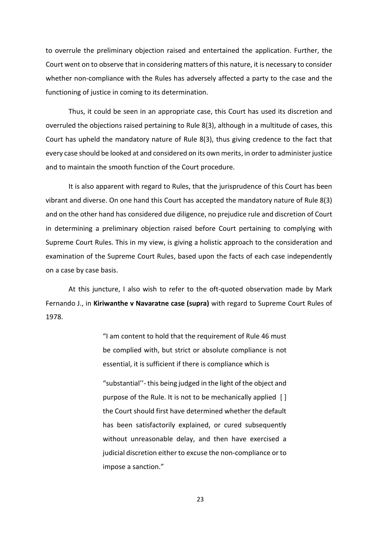to overrule the preliminary objection raised and entertained the application. Further, the Court went on to observe that in considering matters of this nature, it is necessary to consider whether non-compliance with the Rules has adversely affected a party to the case and the functioning of justice in coming to its determination.

Thus, it could be seen in an appropriate case, this Court has used its discretion and overruled the objections raised pertaining to Rule 8(3), although in a multitude of cases, this Court has upheld the mandatory nature of Rule 8(3), thus giving credence to the fact that every case should be looked at and considered on its own merits, in order to administer justice and to maintain the smooth function of the Court procedure.

It is also apparent with regard to Rules, that the jurisprudence of this Court has been vibrant and diverse. On one hand this Court has accepted the mandatory nature of Rule 8(3) and on the other hand has considered due diligence, no prejudice rule and discretion of Court in determining a preliminary objection raised before Court pertaining to complying with Supreme Court Rules. This in my view, is giving a holistic approach to the consideration and examination of the Supreme Court Rules, based upon the facts of each case independently on a case by case basis.

At this juncture, I also wish to refer to the oft-quoted observation made by Mark Fernando J., in **Kiriwanthe v Navaratne case (supra)** with regard to Supreme Court Rules of 1978.

> "I am content to hold that the requirement of Rule 46 must be complied with, but strict or absolute compliance is not essential, it is sufficient if there is compliance which is

> "substantial''- this being judged in the light of the object and purpose of the Rule. It is not to be mechanically applied [ ] the Court should first have determined whether the default has been satisfactorily explained, or cured subsequently without unreasonable delay, and then have exercised a judicial discretion either to excuse the non-compliance or to impose a sanction."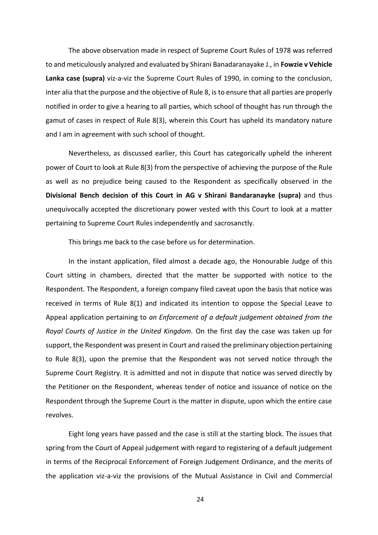The above observation made in respect of Supreme Court Rules of 1978 was referred to and meticulously analyzed and evaluated by Shirani Banadaranayake J., in **Fowzie v Vehicle Lanka case (supra)** viz-a-viz the Supreme Court Rules of 1990, in coming to the conclusion, inter alia that the purpose and the objective of Rule 8, is to ensure that all parties are properly notified in order to give a hearing to all parties, which school of thought has run through the gamut of cases in respect of Rule 8(3), wherein this Court has upheld its mandatory nature and I am in agreement with such school of thought.

Nevertheless, as discussed earlier, this Court has categorically upheld the inherent power of Court to look at Rule 8(3) from the perspective of achieving the purpose of the Rule as well as no prejudice being caused to the Respondent as specifically observed in the **Divisional Bench decision of this Court in AG v Shirani Bandaranayke (supra)** and thus unequivocally accepted the discretionary power vested with this Court to look at a matter pertaining to Supreme Court Rules independently and sacrosanctly.

This brings me back to the case before us for determination.

In the instant application, filed almost a decade ago, the Honourable Judge of this Court sitting in chambers, directed that the matter be supported with notice to the Respondent. The Respondent, a foreign company filed caveat upon the basis that notice was received in terms of Rule 8(1) and indicated its intention to oppose the Special Leave to Appeal application pertaining to *an Enforcement of a default judgement obtained from the Royal Courts of Justice in the United Kingdom.* On the first day the case was taken up for support, the Respondent was present in Court and raised the preliminary objection pertaining to Rule 8(3), upon the premise that the Respondent was not served notice through the Supreme Court Registry. It is admitted and not in dispute that notice was served directly by the Petitioner on the Respondent, whereas tender of notice and issuance of notice on the Respondent through the Supreme Court is the matter in dispute, upon which the entire case revolves.

Eight long years have passed and the case is still at the starting block. The issues that spring from the Court of Appeal judgement with regard to registering of a default judgement in terms of the Reciprocal Enforcement of Foreign Judgement Ordinance, and the merits of the application viz-a-viz the provisions of the Mutual Assistance in Civil and Commercial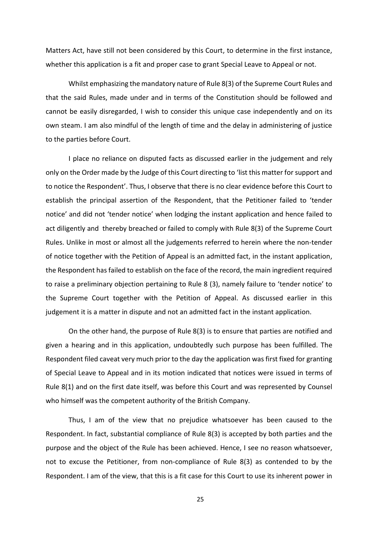Matters Act, have still not been considered by this Court, to determine in the first instance, whether this application is a fit and proper case to grant Special Leave to Appeal or not.

Whilst emphasizing the mandatory nature of Rule 8(3) of the Supreme Court Rules and that the said Rules, made under and in terms of the Constitution should be followed and cannot be easily disregarded, I wish to consider this unique case independently and on its own steam. I am also mindful of the length of time and the delay in administering of justice to the parties before Court.

I place no reliance on disputed facts as discussed earlier in the judgement and rely only on the Order made by the Judge of this Court directing to 'list this matter for support and to notice the Respondent'. Thus, I observe that there is no clear evidence before this Court to establish the principal assertion of the Respondent, that the Petitioner failed to 'tender notice' and did not 'tender notice' when lodging the instant application and hence failed to act diligently and thereby breached or failed to comply with Rule 8(3) of the Supreme Court Rules. Unlike in most or almost all the judgements referred to herein where the non-tender of notice together with the Petition of Appeal is an admitted fact, in the instant application, the Respondent has failed to establish on the face of the record, the main ingredient required to raise a preliminary objection pertaining to Rule 8 (3), namely failure to 'tender notice' to the Supreme Court together with the Petition of Appeal. As discussed earlier in this judgement it is a matter in dispute and not an admitted fact in the instant application.

On the other hand, the purpose of Rule 8(3) is to ensure that parties are notified and given a hearing and in this application, undoubtedly such purpose has been fulfilled. The Respondent filed caveat very much prior to the day the application was first fixed for granting of Special Leave to Appeal and in its motion indicated that notices were issued in terms of Rule 8(1) and on the first date itself, was before this Court and was represented by Counsel who himself was the competent authority of the British Company.

Thus, I am of the view that no prejudice whatsoever has been caused to the Respondent. In fact, substantial compliance of Rule 8(3) is accepted by both parties and the purpose and the object of the Rule has been achieved. Hence, I see no reason whatsoever, not to excuse the Petitioner, from non-compliance of Rule 8(3) as contended to by the Respondent. I am of the view, that this is a fit case for this Court to use its inherent power in